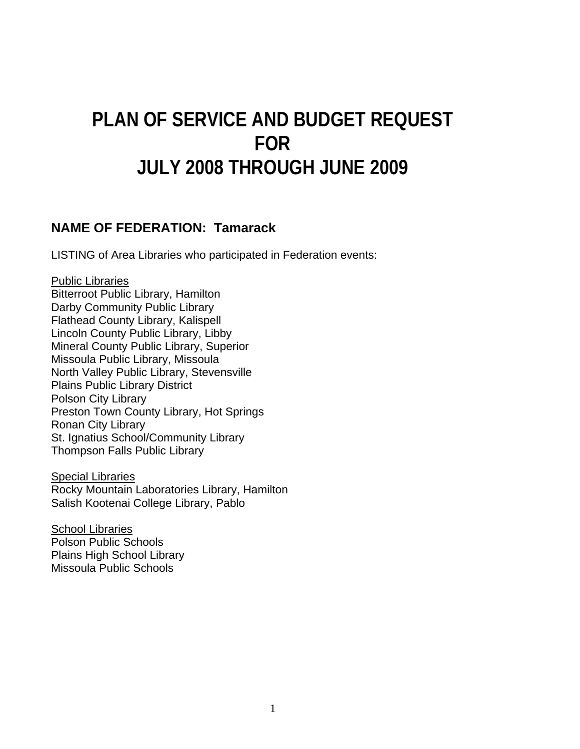# **PLAN OF SERVICE AND BUDGET REQUEST FOR JULY 2008 THROUGH JUNE 2009**

#### **NAME OF FEDERATION: Tamarack**

LISTING of Area Libraries who participated in Federation events:

#### Public Libraries

Bitterroot Public Library, Hamilton Darby Community Public Library Flathead County Library, Kalispell Lincoln County Public Library, Libby Mineral County Public Library, Superior Missoula Public Library, Missoula North Valley Public Library, Stevensville Plains Public Library District Polson City Library Preston Town County Library, Hot Springs Ronan City Library St. Ignatius School/Community Library Thompson Falls Public Library

Special Libraries Rocky Mountain Laboratories Library, Hamilton Salish Kootenai College Library, Pablo

School Libraries Polson Public Schools Plains High School Library Missoula Public Schools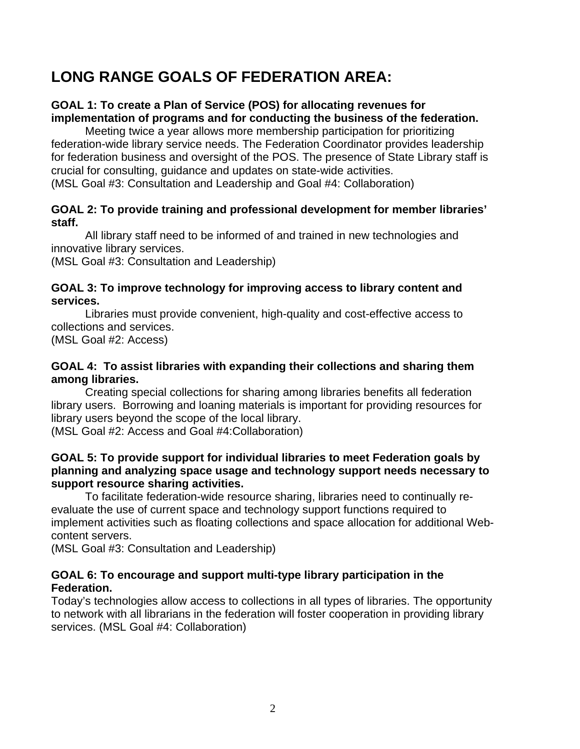# **LONG RANGE GOALS OF FEDERATION AREA:**

#### **GOAL 1: To create a Plan of Service (POS) for allocating revenues for implementation of programs and for conducting the business of the federation.**

Meeting twice a year allows more membership participation for prioritizing federation-wide library service needs. The Federation Coordinator provides leadership for federation business and oversight of the POS. The presence of State Library staff is crucial for consulting, guidance and updates on state-wide activities. (MSL Goal #3: Consultation and Leadership and Goal #4: Collaboration)

#### **GOAL 2: To provide training and professional development for member libraries' staff.**

All library staff need to be informed of and trained in new technologies and innovative library services.

(MSL Goal #3: Consultation and Leadership)

#### **GOAL 3: To improve technology for improving access to library content and services.**

Libraries must provide convenient, high-quality and cost-effective access to collections and services.

(MSL Goal #2: Access)

#### **GOAL 4: To assist libraries with expanding their collections and sharing them among libraries.**

Creating special collections for sharing among libraries benefits all federation library users. Borrowing and loaning materials is important for providing resources for library users beyond the scope of the local library.

(MSL Goal #2: Access and Goal #4:Collaboration)

#### **GOAL 5: To provide support for individual libraries to meet Federation goals by planning and analyzing space usage and technology support needs necessary to support resource sharing activities.**

To facilitate federation-wide resource sharing, libraries need to continually reevaluate the use of current space and technology support functions required to implement activities such as floating collections and space allocation for additional Webcontent servers.

(MSL Goal #3: Consultation and Leadership)

#### **GOAL 6: To encourage and support multi-type library participation in the Federation.**

Today's technologies allow access to collections in all types of libraries. The opportunity to network with all librarians in the federation will foster cooperation in providing library services. (MSL Goal #4: Collaboration)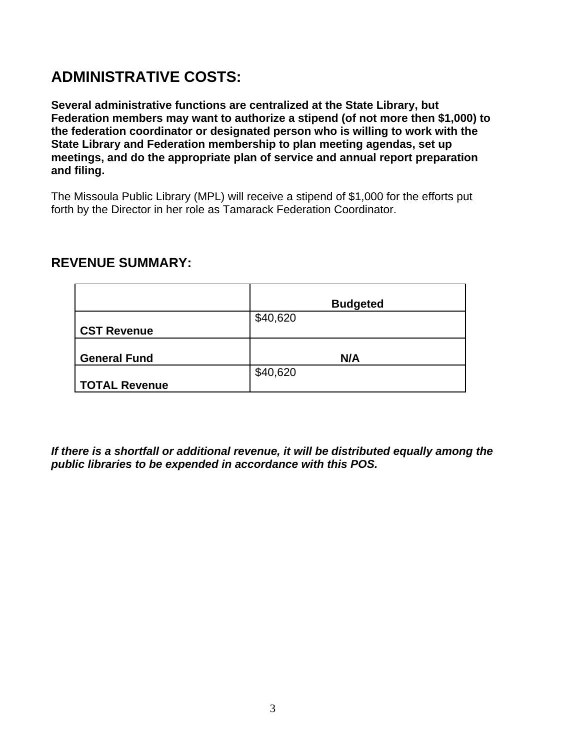# **ADMINISTRATIVE COSTS:**

**Several administrative functions are centralized at the State Library, but Federation members may want to authorize a stipend (of not more then \$1,000) to the federation coordinator or designated person who is willing to work with the State Library and Federation membership to plan meeting agendas, set up meetings, and do the appropriate plan of service and annual report preparation and filing.**

The Missoula Public Library (MPL) will receive a stipend of \$1,000 for the efforts put forth by the Director in her role as Tamarack Federation Coordinator.

#### **REVENUE SUMMARY:**

|                     | <b>Budgeted</b> |
|---------------------|-----------------|
|                     | \$40,620        |
| <b>CST Revenue</b>  |                 |
|                     |                 |
| <b>General Fund</b> | N/A             |
|                     | \$40,620        |
| TOTAL Revenue       |                 |

*If there is a shortfall or additional revenue, it will be distributed equally among the public libraries to be expended in accordance with this POS.*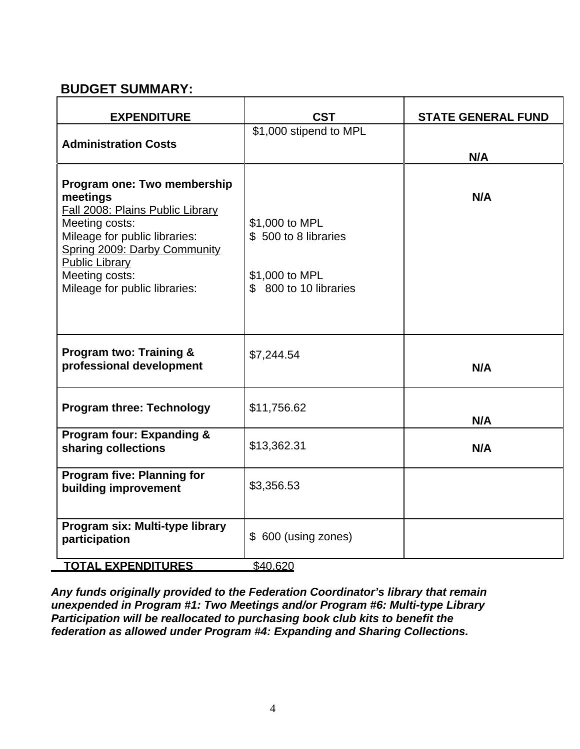#### **BUDGET SUMMARY:**

| <b>EXPENDITURE</b>                                                                                                                                                                                                                         | <b>CST</b>                                                                         | <b>STATE GENERAL FUND</b> |
|--------------------------------------------------------------------------------------------------------------------------------------------------------------------------------------------------------------------------------------------|------------------------------------------------------------------------------------|---------------------------|
| <b>Administration Costs</b>                                                                                                                                                                                                                | \$1,000 stipend to MPL                                                             | N/A                       |
| Program one: Two membership<br>meetings<br>Fall 2008: Plains Public Library<br>Meeting costs:<br>Mileage for public libraries:<br>Spring 2009: Darby Community<br><b>Public Library</b><br>Meeting costs:<br>Mileage for public libraries: | \$1,000 to MPL<br>\$500 to 8 libraries<br>\$1,000 to MPL<br>\$ 800 to 10 libraries | N/A                       |
| <b>Program two: Training &amp;</b><br>professional development                                                                                                                                                                             | \$7,244.54                                                                         | N/A                       |
| <b>Program three: Technology</b>                                                                                                                                                                                                           | \$11,756.62                                                                        | N/A                       |
| <b>Program four: Expanding &amp;</b><br>sharing collections                                                                                                                                                                                | \$13,362.31                                                                        | N/A                       |
| <b>Program five: Planning for</b><br>building improvement                                                                                                                                                                                  | \$3,356.53                                                                         |                           |
| Program six: Multi-type library<br>participation<br><b>TOTAL EXPENDITURES</b>                                                                                                                                                              | \$ 600 (using zones)<br>\$40,620                                                   |                           |

*Any funds originally provided to the Federation Coordinator's library that remain unexpended in Program #1: Two Meetings and/or Program #6: Multi-type Library Participation will be reallocated to purchasing book club kits to benefit the federation as allowed under Program #4: Expanding and Sharing Collections.*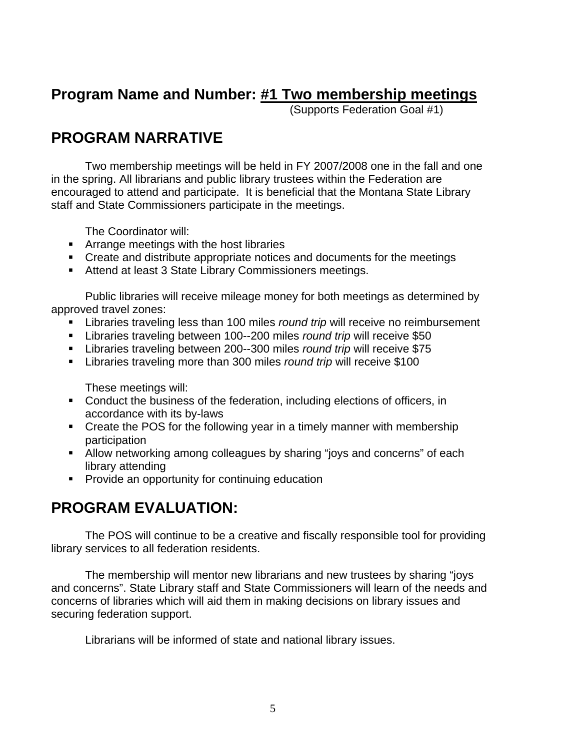### **Program Name and Number: #1 Two membership meetings**

(Supports Federation Goal #1)

# **PROGRAM NARRATIVE**

 Two membership meetings will be held in FY 2007/2008 one in the fall and one in the spring. All librarians and public library trustees within the Federation are encouraged to attend and participate. It is beneficial that the Montana State Library staff and State Commissioners participate in the meetings.

The Coordinator will:

- **EXTERGHTM** Arrange meetings with the host libraries
- Create and distribute appropriate notices and documents for the meetings
- Attend at least 3 State Library Commissioners meetings.

Public libraries will receive mileage money for both meetings as determined by approved travel zones:

- Libraries traveling less than 100 miles *round trip* will receive no reimbursement
- Libraries traveling between 100--200 miles *round trip* will receive \$50
- Libraries traveling between 200--300 miles *round trip* will receive \$75
- Libraries traveling more than 300 miles *round trip* will receive \$100

These meetings will:

- Conduct the business of the federation, including elections of officers, in accordance with its by-laws
- Create the POS for the following year in a timely manner with membership participation
- Allow networking among colleagues by sharing "joys and concerns" of each library attending
- **Provide an opportunity for continuing education**

### **PROGRAM EVALUATION:**

The POS will continue to be a creative and fiscally responsible tool for providing library services to all federation residents.

 The membership will mentor new librarians and new trustees by sharing "joys and concerns". State Library staff and State Commissioners will learn of the needs and concerns of libraries which will aid them in making decisions on library issues and securing federation support.

Librarians will be informed of state and national library issues.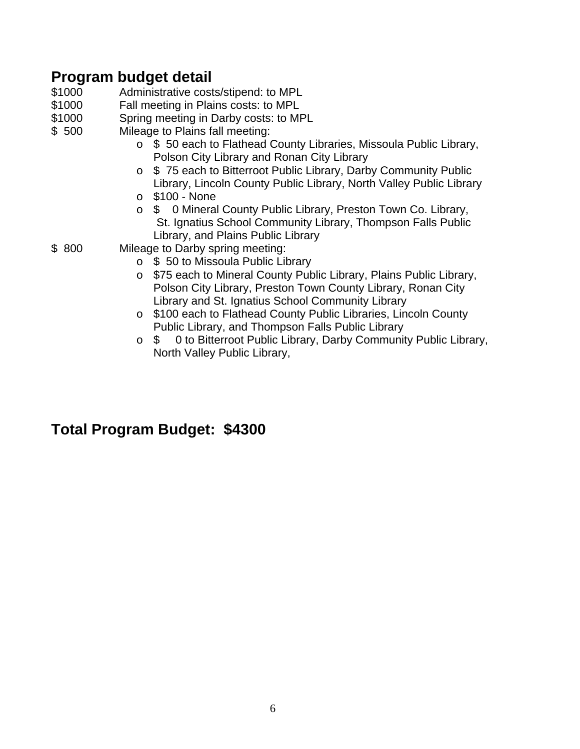### **Program budget detail**

- \$1000 Administrative costs/stipend: to MPL<br>\$1000 Fall meeting in Plains costs: to MPL
- Fall meeting in Plains costs: to MPL
- \$1000 Spring meeting in Darby costs: to MPL
- \$ 500 Mileage to Plains fall meeting:
	- o \$ 50 each to Flathead County Libraries, Missoula Public Library, Polson City Library and Ronan City Library
	- o \$ 75 each to Bitterroot Public Library, Darby Community Public Library, Lincoln County Public Library, North Valley Public Library
	- o \$100 None
	- o \$ 0 Mineral County Public Library, Preston Town Co. Library, St. Ignatius School Community Library, Thompson Falls Public Library, and Plains Public Library
- \$ 800 Mileage to Darby spring meeting:
	- o \$ 50 to Missoula Public Library
	- o \$75 each to Mineral County Public Library, Plains Public Library, Polson City Library, Preston Town County Library, Ronan City Library and St. Ignatius School Community Library
	- o \$100 each to Flathead County Public Libraries, Lincoln County Public Library, and Thompson Falls Public Library
	- o \$ 0 to Bitterroot Public Library, Darby Community Public Library, North Valley Public Library,

### **Total Program Budget: \$4300**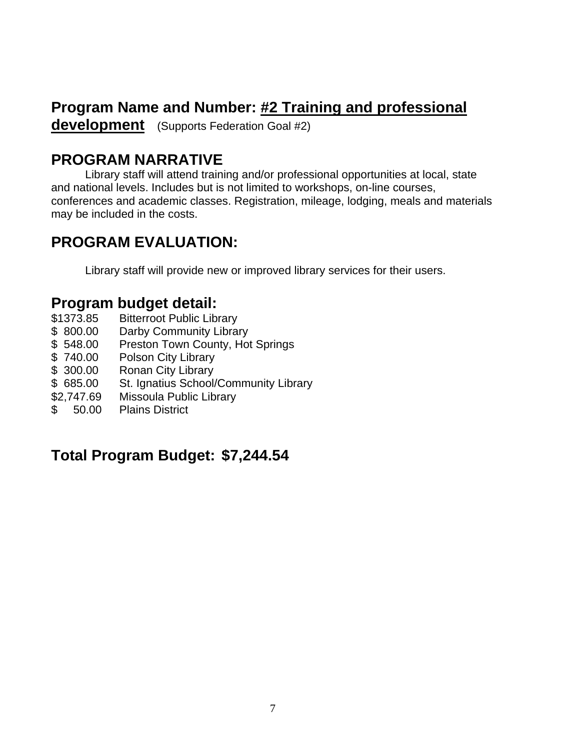# **Program Name and Number: #2 Training and professional**

**development** (Supports Federation Goal #2)

# **PROGRAM NARRATIVE**

 Library staff will attend training and/or professional opportunities at local, state and national levels. Includes but is not limited to workshops, on-line courses, conferences and academic classes. Registration, mileage, lodging, meals and materials may be included in the costs.

# **PROGRAM EVALUATION:**

Library staff will provide new or improved library services for their users.

### **Program budget detail:**

- \$1373.85 Bitterroot Public Library
- \$800.00 Darby Community Library
- \$548.00 Preston Town County, Hot Springs
- \$ 740.00 Polson City Library
- \$ 300.00 Ronan City Library
- \$ 685.00 St. Ignatius School/Community Library
- \$2,747.69 Missoula Public Library
- \$ 50.00 Plains District

# **Total Program Budget: \$7,244.54**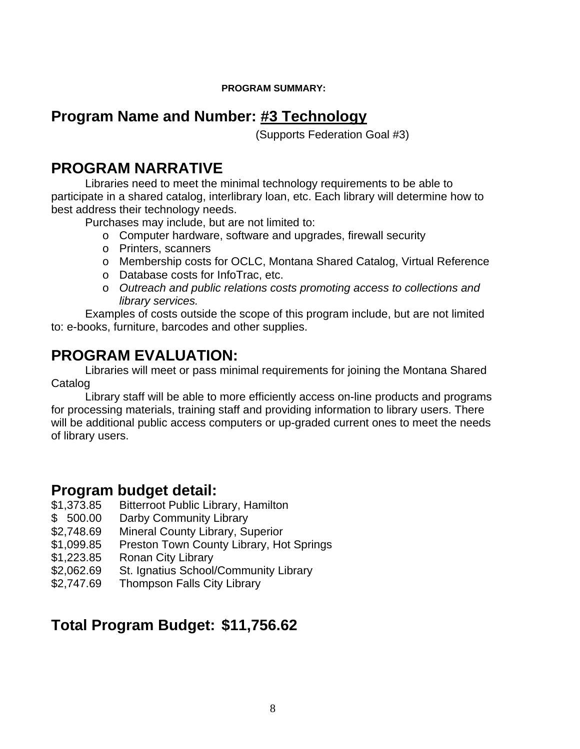#### **PROGRAM SUMMARY:**

#### **Program Name and Number: #3 Technology**

(Supports Federation Goal #3)

#### **PROGRAM NARRATIVE**

 Libraries need to meet the minimal technology requirements to be able to participate in a shared catalog, interlibrary loan, etc. Each library will determine how to best address their technology needs.

Purchases may include, but are not limited to:

- o Computer hardware, software and upgrades, firewall security
- o Printers, scanners
- o Membership costs for OCLC, Montana Shared Catalog, Virtual Reference
- o Database costs for InfoTrac, etc.
- o *Outreach and public relations costs promoting access to collections and library services.*

Examples of costs outside the scope of this program include, but are not limited to: e-books, furniture, barcodes and other supplies.

# **PROGRAM EVALUATION:**

 Libraries will meet or pass minimal requirements for joining the Montana Shared **Catalog** 

 Library staff will be able to more efficiently access on-line products and programs for processing materials, training staff and providing information to library users. There will be additional public access computers or up-graded current ones to meet the needs of library users.

#### **Program budget detail:**

- \$1,373.85 Bitterroot Public Library, Hamilton
- \$ 500.00 Darby Community Library
- \$2,748.69 Mineral County Library, Superior
- \$1,099.85 Preston Town County Library, Hot Springs
- \$1,223.85 Ronan City Library
- \$2,062.69 St. Ignatius School/Community Library
- \$2,747.69 Thompson Falls City Library

# **Total Program Budget: \$11,756.62**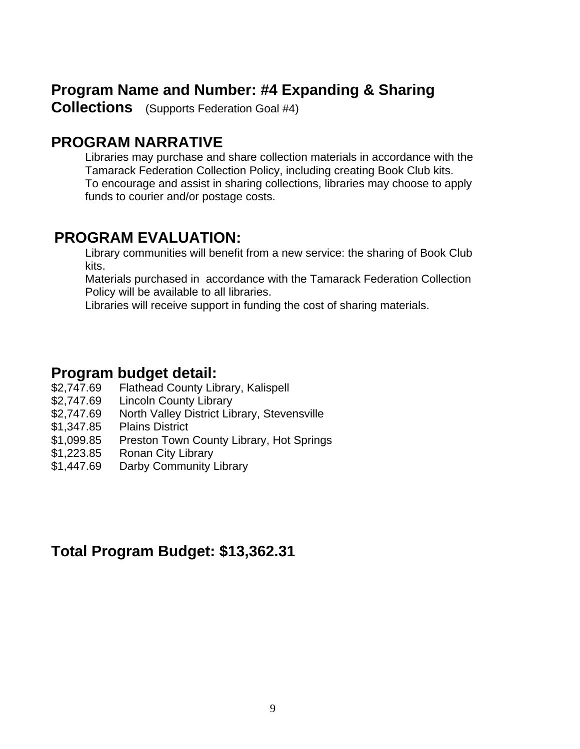### **Program Name and Number: #4 Expanding & Sharing**

**Collections** (Supports Federation Goal #4)

#### **PROGRAM NARRATIVE**

 Libraries may purchase and share collection materials in accordance with the Tamarack Federation Collection Policy, including creating Book Club kits. To encourage and assist in sharing collections, libraries may choose to apply funds to courier and/or postage costs.

#### **PROGRAM EVALUATION:**

Library communities will benefit from a new service: the sharing of Book Club kits.

 Materials purchased in accordance with the Tamarack Federation Collection Policy will be available to all libraries.

Libraries will receive support in funding the cost of sharing materials.

#### **Program budget detail:**

- \$2,747.69 Flathead County Library, Kalispell
- \$2,747.69 Lincoln County Library
- \$2,747.69 North Valley District Library, Stevensville
- \$1,347.85 Plains District
- \$1,099.85 Preston Town County Library, Hot Springs
- \$1,223.85 Ronan City Library
- \$1,447.69 Darby Community Library

#### **Total Program Budget: \$13,362.31**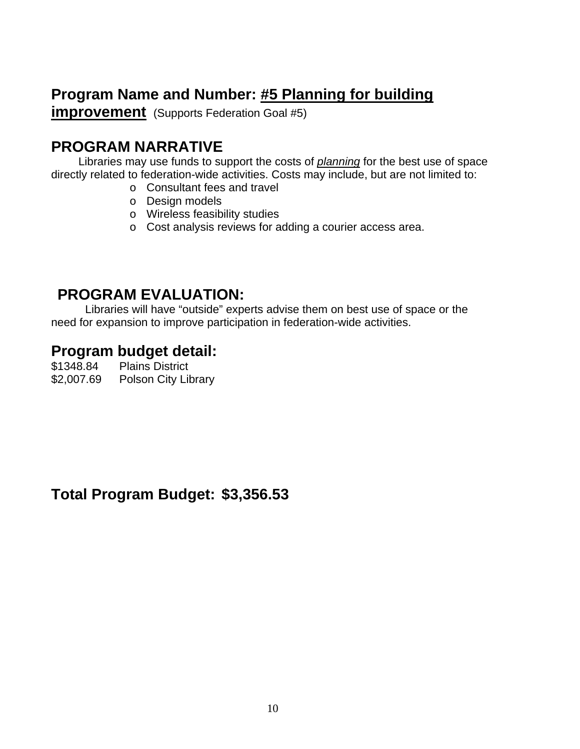# **Program Name and Number: #5 Planning for building**

**improvement** (Supports Federation Goal #5)

# **PROGRAM NARRATIVE**

Libraries may use funds to support the costs of *planning* for the best use of space directly related to federation-wide activities. Costs may include, but are not limited to:

- o Consultant fees and travel
- o Design models
- o Wireless feasibility studies
- o Cost analysis reviews for adding a courier access area.

### **PROGRAM EVALUATION:**

 Libraries will have "outside" experts advise them on best use of space or the need for expansion to improve participation in federation-wide activities.

### **Program budget detail:**

\$1348.84 Plains District \$2,007.69 Polson City Library

**Total Program Budget: \$3,356.53**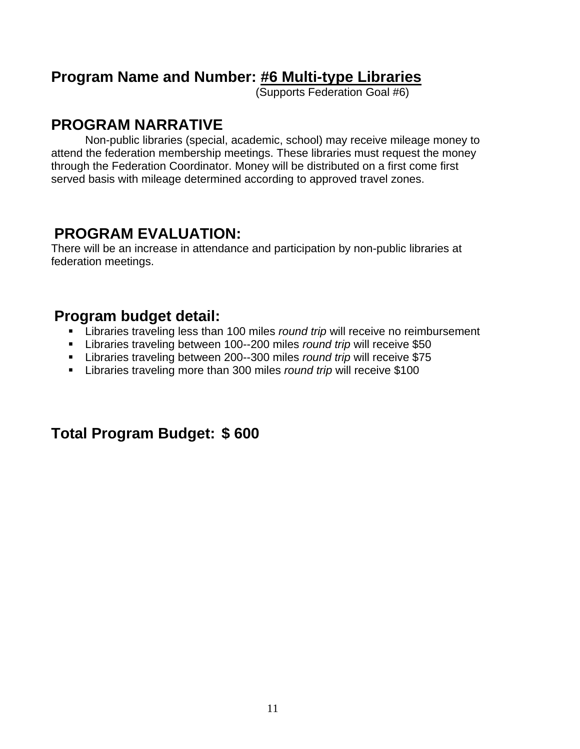#### **Program Name and Number: #6 Multi-type Libraries**

(Supports Federation Goal #6)

### **PROGRAM NARRATIVE**

Non-public libraries (special, academic, school) may receive mileage money to attend the federation membership meetings. These libraries must request the money through the Federation Coordinator. Money will be distributed on a first come first served basis with mileage determined according to approved travel zones.

### **PROGRAM EVALUATION:**

There will be an increase in attendance and participation by non-public libraries at federation meetings.

### **Program budget detail:**

- Libraries traveling less than 100 miles *round trip* will receive no reimbursement
- Libraries traveling between 100--200 miles *round trip* will receive \$50
- Libraries traveling between 200--300 miles *round trip* will receive \$75
- Libraries traveling more than 300 miles *round trip* will receive \$100

### **Total Program Budget: \$ 600**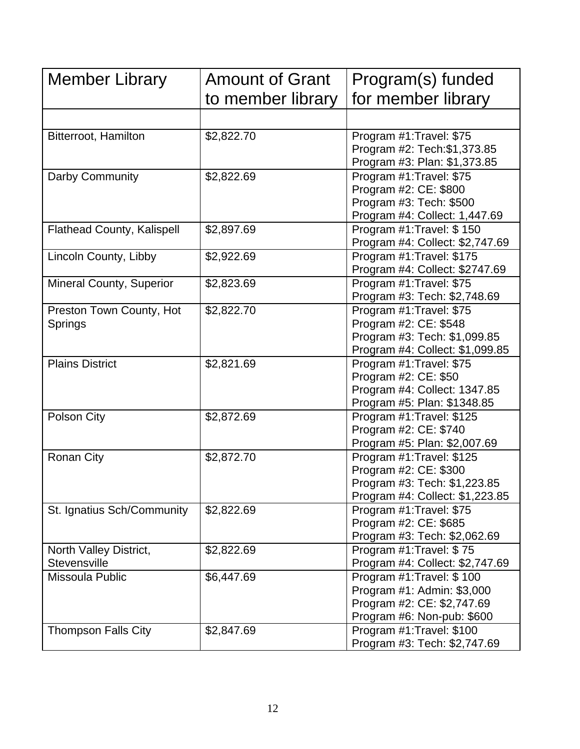| Member Library                                | <b>Amount of Grant</b> | Program(s) funded                                                                                                     |
|-----------------------------------------------|------------------------|-----------------------------------------------------------------------------------------------------------------------|
|                                               | to member library      | for member library                                                                                                    |
|                                               |                        |                                                                                                                       |
| <b>Bitterroot, Hamilton</b>                   | \$2,822.70             | Program #1: Travel: \$75<br>Program #2: Tech: \$1,373.85<br>Program #3: Plan: \$1,373.85                              |
| Darby Community                               | \$2,822.69             | Program #1: Travel: \$75<br>Program #2: CE: \$800<br>Program #3: Tech: \$500<br>Program #4: Collect: 1,447.69         |
| <b>Flathead County, Kalispell</b>             | \$2,897.69             | Program #1: Travel: \$150<br>Program #4: Collect: \$2,747.69                                                          |
| Lincoln County, Libby                         | \$2,922.69             | Program #1: Travel: \$175<br>Program #4: Collect: \$2747.69                                                           |
| <b>Mineral County, Superior</b>               | \$2,823.69             | Program #1: Travel: \$75<br>Program #3: Tech: \$2,748.69                                                              |
| Preston Town County, Hot<br>Springs           | \$2,822.70             | Program #1: Travel: \$75<br>Program #2: CE: \$548<br>Program #3: Tech: \$1,099.85<br>Program #4: Collect: \$1,099.85  |
| <b>Plains District</b>                        | \$2,821.69             | Program #1: Travel: \$75<br>Program #2: CE: \$50<br>Program #4: Collect: 1347.85<br>Program #5: Plan: \$1348.85       |
| Polson City                                   | \$2,872.69             | Program #1: Travel: \$125<br>Program #2: CE: \$740<br>Program #5: Plan: \$2,007.69                                    |
| <b>Ronan City</b>                             | \$2,872.70             | Program #1: Travel: \$125<br>Program #2: CE: \$300<br>Program #3: Tech: \$1,223.85<br>Program #4: Collect: \$1,223.85 |
| St. Ignatius Sch/Community                    | \$2,822.69             | Program #1: Travel: \$75<br>Program #2: CE: \$685<br>Program #3: Tech: \$2,062.69                                     |
| North Valley District,<br><b>Stevensville</b> | \$2,822.69             | Program #1: Travel: \$75<br>Program #4: Collect: \$2,747.69                                                           |
| Missoula Public                               | \$6,447.69             | Program #1: Travel: \$100<br>Program #1: Admin: \$3,000<br>Program #2: CE: \$2,747.69<br>Program #6: Non-pub: \$600   |
| <b>Thompson Falls City</b>                    | \$2,847.69             | Program #1: Travel: \$100<br>Program #3: Tech: \$2,747.69                                                             |